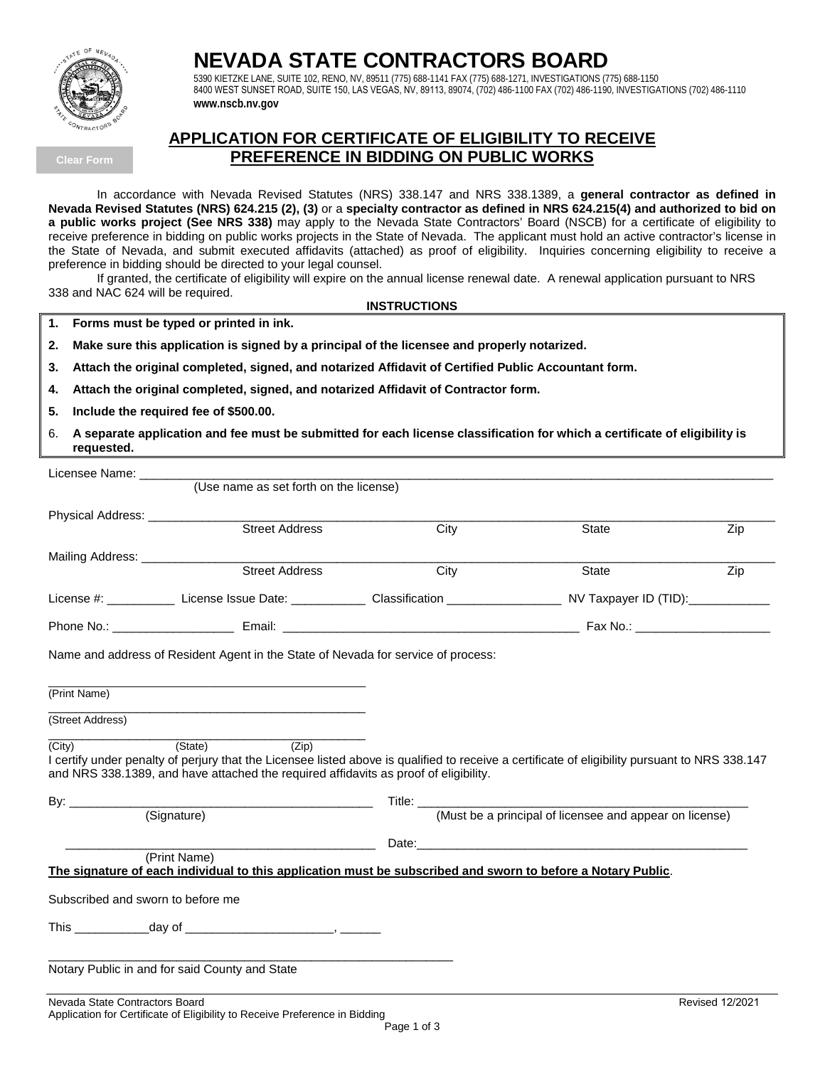

## **NEVADA STATE CONTRACTORS BOARD**

5390 KIETZKE LANE, SUITE 102, RENO, NV, 89511 (775) 688-1141 FAX (775) 688-1271, INVESTIGATIONS (775) 688-1150 8400 WEST SUNSET ROAD, SUITE 150, LAS VEGAS, NV, 89113, 89074, (702) 486-1100 FAX (702) 486-1190, INVESTIGATIONS (702) 486-1110 **www.nscb.nv.gov** 

**Clear Form**

### **APPLICATION FOR CERTIFICATE OF ELIGIBILITY TO RECEIVE PREFERENCE IN BIDDING ON PUBLIC WORKS**

In accordance with Nevada Revised Statutes (NRS) 338.147 and NRS 338.1389, a **general contractor as defined in Nevada Revised Statutes (NRS) 624.215 (2), (3)** or a **specialty contractor as defined in NRS 624.215(4) and authorized to bid on a public works project (See NRS 338)** may apply to the Nevada State Contractors' Board (NSCB) for a certificate of eligibility to receive preference in bidding on public works projects in the State of Nevada. The applicant must hold an active contractor's license in the State of Nevada, and submit executed affidavits (attached) as proof of eligibility. Inquiries concerning eligibility to receive a preference in bidding should be directed to your legal counsel.

If granted, the certificate of eligibility will expire on the annual license renewal date. A renewal application pursuant to NRS 338 and NAC 624 will be required.

#### **INSTRUCTIONS**

**1. Forms must be typed or printed in ink.**

- **2. Make sure this application is signed by a principal of the licensee and properly notarized.**
- **3. Attach the original completed, signed, and notarized Affidavit of Certified Public Accountant form.**
- **4. Attach the original completed, signed, and notarized Affidavit of Contractor form.**
- **5. Include the required fee of \$500.00.**
- 6. **A separate application and fee must be submitted for each license classification for which a certificate of eligibility is requested.**

| Licensee Name:                  |                                                                                                                                                                                                                                                            |                                                                                                                                        |                                                                                                                                                                                                                                |     |
|---------------------------------|------------------------------------------------------------------------------------------------------------------------------------------------------------------------------------------------------------------------------------------------------------|----------------------------------------------------------------------------------------------------------------------------------------|--------------------------------------------------------------------------------------------------------------------------------------------------------------------------------------------------------------------------------|-----|
|                                 | (Use name as set forth on the license)                                                                                                                                                                                                                     |                                                                                                                                        |                                                                                                                                                                                                                                |     |
| Physical Address: _____________ |                                                                                                                                                                                                                                                            |                                                                                                                                        |                                                                                                                                                                                                                                |     |
|                                 | Street Address                                                                                                                                                                                                                                             | City                                                                                                                                   | State                                                                                                                                                                                                                          | Zip |
| Mailing Address: ____________   |                                                                                                                                                                                                                                                            |                                                                                                                                        |                                                                                                                                                                                                                                |     |
|                                 | <b>Street Address</b>                                                                                                                                                                                                                                      | City                                                                                                                                   | State                                                                                                                                                                                                                          | Zip |
|                                 |                                                                                                                                                                                                                                                            | License #: ____________ License Issue Date: _____________ Classification _______________________ NV Taxpayer ID (TID):________________ |                                                                                                                                                                                                                                |     |
|                                 |                                                                                                                                                                                                                                                            |                                                                                                                                        |                                                                                                                                                                                                                                |     |
| (Print Name)                    |                                                                                                                                                                                                                                                            |                                                                                                                                        |                                                                                                                                                                                                                                |     |
| (Street Address)                |                                                                                                                                                                                                                                                            |                                                                                                                                        |                                                                                                                                                                                                                                |     |
| (City)                          | (State)<br>(Zip)<br>I certify under penalty of perjury that the Licensee listed above is qualified to receive a certificate of eligibility pursuant to NRS 338.147<br>and NRS 338.1389, and have attached the required affidavits as proof of eligibility. |                                                                                                                                        |                                                                                                                                                                                                                                |     |
|                                 |                                                                                                                                                                                                                                                            |                                                                                                                                        |                                                                                                                                                                                                                                |     |
|                                 | (Signature)                                                                                                                                                                                                                                                | (Must be a principal of licensee and appear on license)                                                                                |                                                                                                                                                                                                                                |     |
|                                 |                                                                                                                                                                                                                                                            |                                                                                                                                        | Date: the contract of the contract of the contract of the contract of the contract of the contract of the contract of the contract of the contract of the contract of the contract of the contract of the contract of the cont |     |
|                                 | (Print Name)                                                                                                                                                                                                                                               |                                                                                                                                        |                                                                                                                                                                                                                                |     |
|                                 | The signature of each individual to this application must be subscribed and sworn to before a Notary Public.                                                                                                                                               |                                                                                                                                        |                                                                                                                                                                                                                                |     |
|                                 | Subscribed and sworn to before me                                                                                                                                                                                                                          |                                                                                                                                        |                                                                                                                                                                                                                                |     |
|                                 |                                                                                                                                                                                                                                                            |                                                                                                                                        |                                                                                                                                                                                                                                |     |
|                                 |                                                                                                                                                                                                                                                            |                                                                                                                                        |                                                                                                                                                                                                                                |     |
|                                 | Notary Public in and for said County and State                                                                                                                                                                                                             |                                                                                                                                        |                                                                                                                                                                                                                                |     |
|                                 |                                                                                                                                                                                                                                                            |                                                                                                                                        |                                                                                                                                                                                                                                |     |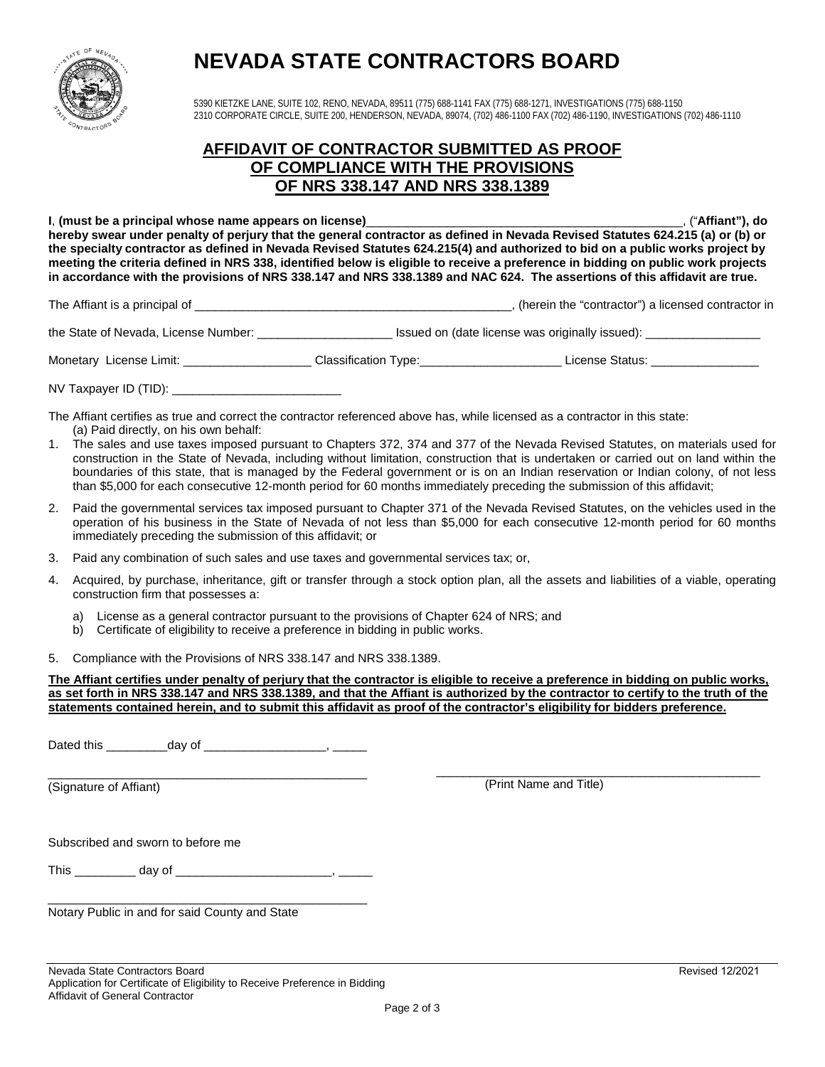

# **NEVADA STATE CONTRACTORS BOARD**

5390 KIETZKE LANE, SUITE 102, RENO, NEVADA, 89511 (775) 688-1141 FAX (775) 688-1271, INVESTIGATIONS (775) 688-1150 2310 CORPORATE CIRCLE, SUITE 200, HENDERSON, NEVADA, 89074, (702) 486-1100 FAX (702) 486-1190, INVESTIGATIONS (702) 486-1110

## **AFFIDAVIT OF CONTRACTOR SUBMITTED AS PROOF OF COMPLIANCE WITH THE PROVISIONS OF NRS 338.147 AND NRS 338.1389**

**I**, **(must be a principal whose name appears on license)**\_\_\_\_\_\_\_\_\_\_\_\_\_\_\_\_\_\_\_\_\_\_\_\_\_\_\_\_\_\_\_\_\_\_\_\_\_\_\_\_\_\_\_\_\_\_\_, ("**Affiant"), do hereby swear under penalty of perjury that the general contractor as defined in Nevada Revised Statutes 624.215 (a) or (b) or the specialty contractor as defined in Nevada Revised Statutes 624.215(4) and authorized to bid on a public works project by meeting the criteria defined in NRS 338, identified below is eligible to receive a preference in bidding on public work projects in accordance with the provisions of NRS 338.147 and NRS 338.1389 and NAC 624. The assertions of this affidavit are true.**

The Affiant is a principal of \_\_\_\_\_\_\_\_\_\_\_\_\_\_\_\_\_\_\_\_\_\_\_\_\_\_\_\_\_\_\_\_\_\_\_\_\_\_\_\_\_\_\_\_\_\_\_, (herein the "contractor") a licensed contractor in

the State of Nevada, License Number: \_\_\_\_\_\_\_\_\_\_\_\_\_\_\_\_\_\_\_\_ Issued on (date license was originally issued): \_\_\_\_\_\_\_\_\_\_\_\_\_\_\_\_\_

Monetary License Limit: \_\_\_\_\_\_\_\_\_\_\_\_\_\_\_\_\_\_\_ Classification Type:\_\_\_\_\_\_\_\_\_\_\_\_\_\_\_\_\_\_\_\_\_ License Status: \_\_\_\_\_\_\_\_\_\_\_\_\_\_\_\_

NV Taxpayer ID (TID): **We have all the UV** 

The Affiant certifies as true and correct the contractor referenced above has, while licensed as a contractor in this state: (a) Paid directly, on his own behalf:

- 1. The sales and use taxes imposed pursuant to Chapters 372, 374 and 377 of the Nevada Revised Statutes, on materials used for construction in the State of Nevada, including without limitation, construction that is undertaken or carried out on land within the boundaries of this state, that is managed by the Federal government or is on an Indian reservation or Indian colony, of not less than \$5,000 for each consecutive 12-month period for 60 months immediately preceding the submission of this affidavit;
- 2. Paid the governmental services tax imposed pursuant to Chapter 371 of the Nevada Revised Statutes, on the vehicles used in the operation of his business in the State of Nevada of not less than \$5,000 for each consecutive 12-month period for 60 months immediately preceding the submission of this affidavit; or
- 3. Paid any combination of such sales and use taxes and governmental services tax; or,
- 4. Acquired, by purchase, inheritance, gift or transfer through a stock option plan, all the assets and liabilities of a viable, operating construction firm that possesses a:
	- a) License as a general contractor pursuant to the provisions of Chapter 624 of NRS; and
	- b) Certificate of eligibility to receive a preference in bidding in public works.
- 5. Compliance with the Provisions of NRS 338.147 and NRS 338.1389.

**The Affiant certifies under penalty of perjury that the contractor is eligible to receive a preference in bidding on public works, as set forth in NRS 338.147 and NRS 338.1389, and that the Affiant is authorized by the contractor to certify to the truth of the statements contained herein, and to submit this affidavit as proof of the contractor's eligibility for bidders preference.**

Dated this \_\_\_\_\_\_\_\_\_\_\_day of \_\_\_\_\_\_\_\_\_\_\_\_\_\_\_\_\_\_\_\_\_\_, \_\_\_\_\_\_\_

\_\_\_\_\_\_\_\_\_\_\_\_\_\_\_\_\_\_\_\_\_\_\_\_\_\_\_\_\_\_\_\_\_\_\_\_\_\_\_\_\_\_\_\_\_\_\_ (Signature of Affiant)

\_\_\_\_\_\_\_\_\_\_\_\_\_\_\_\_\_\_\_\_\_\_\_\_\_\_\_\_\_\_\_\_\_\_\_\_\_\_\_\_\_\_\_\_\_\_\_\_ (Print Name and Title)

Subscribed and sworn to before me

This \_\_\_\_\_\_\_\_\_\_\_\_ day of \_\_\_\_\_\_\_\_\_\_\_\_\_\_\_\_\_\_\_\_\_\_\_\_\_\_\_\_\_, \_\_\_\_\_\_\_

\_\_\_\_\_\_\_\_\_\_\_\_\_\_\_\_\_\_\_\_\_\_\_\_\_\_\_\_\_\_\_\_\_\_\_\_\_\_\_\_\_\_\_\_\_\_\_ Notary Public in and for said County and State